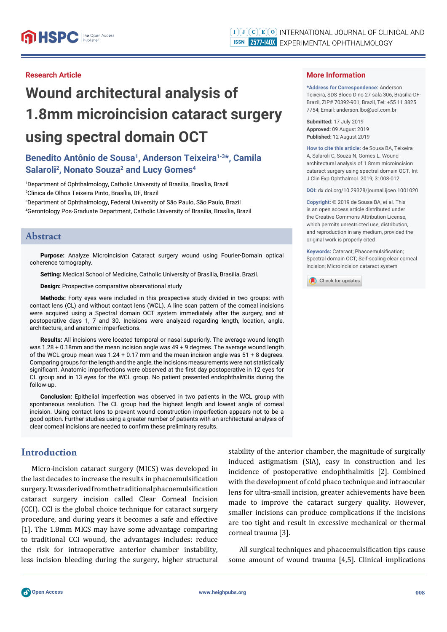#### **Research Article**

# **Wound architectural analysis of 1.8mm microincision cataract surgery using spectral domain OCT**

## Benedito Antônio de Sousa<sup>1</sup>, Anderson Teixeira<sup>1-3\*</sup>, Camila Salaroli<sup>2</sup>, Nonato Souza<sup>2</sup> and Lucy Gomes<sup>4</sup>

1 Department of Ophthalmology, Catholic University of Brasília, Brasília, Brazil 2 Clinica de Olhos Teixeira Pinto, Brasília, DF, Brazil

3 Department of Ophthalmology, Federal University of São Paulo, São Paulo, Brazil 4 Gerontology Pos-Graduate Department, Catholic University of Brasília, Brasília, Brazil

#### **Abstract**

**Purpose:** Analyze Microincision Cataract surgery wound using Fourier-Domain optical coherence tomography.

**Setting:** Medical School of Medicine, Catholic University of Brasilia, Brasília, Brazil.

**Design:** Prospective comparative observational study

**Methods:** Forty eyes were included in this prospective study divided in two groups: with contact lens (CL) and without contact lens (WCL). A line scan pattern of the corneal incisions were acquired using a Spectral domain OCT system immediately after the surgery, and at postoperative days 1, 7 and 30. Incisions were analyzed regarding length, location, angle, architecture, and anatomic imperfections.

**Results:** All incisions were located temporal or nasal superiorly. The average wound length was 1.28 + 0.18mm and the mean incision angle was 49 + 9 degrees. The average wound length of the WCL group mean was  $1.24 + 0.17$  mm and the mean incision angle was  $51 + 8$  degrees. Comparing groups for the length and the angle, the incisions measurements were not statistically significant. Anatomic imperfections were observed at the first day postoperative in 12 eyes for CL group and in 13 eyes for the WCL group. No patient presented endophthalmitis during the follow-up.

**Conclusion:** Epithelial imperfection was observed in two patients in the WCL group with spontaneous resolution. The CL group had the highest length and lowest angle of corneal incision. Using contact lens to prevent wound construction imperfection appears not to be a good option. Further studies using a greater number of patients with an architectural analysis of clear corneal incisions are needed to confirm these preliminary results.

## **Introduction**

Micro-incision cataract surgery (MICS) was developed in the last decades to increase the results in phacoemulsification surgery. It was derived from the traditional phacoemulsification cataract surgery incision called Clear Corneal Incision (CCI). CCI is the global choice technique for cataract surgery procedure, and during years it becomes a safe and effective [1]. The 1.8mm MICS may have some advantage comparing to traditional CCI wound, the advantages includes: reduce the risk for intraoperative anterior chamber instability, less incision bleeding during the surgery, higher structural stability of the anterior chamber, the magnitude of surgically induced astigmatism (SIA), easy in construction and les incidence of postoperative endophthalmitis [2]. Combined with the development of cold phaco technique and intraocular lens for ultra-small incision, greater achievements have been made to improve the cataract surgery quality. However, smaller incisions can produce complications if the incisions are too tight and result in excessive mechanical or thermal corneal trauma [3].

All surgical techniques and phacoemulsification tips cause some amount of wound trauma [4,5]. Clinical implications

#### **More Information**

**\*Address for Correspondence:** Anderson Teixeira, SDS Bloco D no 27 sala 306, Brasília-DF-Brazil, ZIP# 70392-901, Brazil, Tel: +55 11 3825 7754; Email: anderson.lbo@uol.com.br

**Submitted:** 17 July 2019 **Approved:** 09 August 2019 **Published:** 12 August 2019

**How to cite this article:** de Sousa BA, Teixeira A, Salaroli C, Souza N, Gomes L. Wound architectural analysis of 1.8mm microincision cataract surgery using spectral domain OCT. Int J Clin Exp Ophthalmol. 2019; 3: 008-012.

**DOI:** dx.doi.org/10.29328/journal.ijceo.1001020

**Copyright: ©** 2019 de Sousa BA, et al. This is an open access article distributed under the Creative Commons Attribution License, which permits unrestricted use, distribution, and reproduction in any medium, provided the original work is properly cited

**Keywords: Cataract: Phacoemulsification:** Spectral domain OCT; Self-sealing clear corneal incision; Microincision cataract system

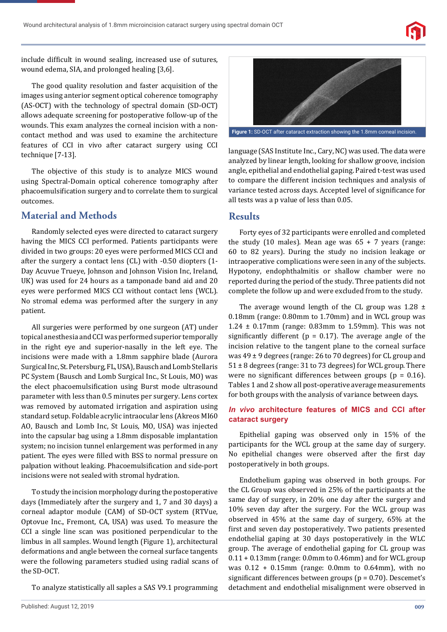

include difficult in wound sealing, increased use of sutures, wound edema, SIA, and prolonged healing [3,6].

The good quality resolution and faster acquisition of the images using anterior segment optical coherence tomography (AS-OCT) with the technology of spectral domain (SD-OCT) allows adequate screening for postoperative follow-up of the wounds. This exam analyzes the corneal incision with a noncontact method and was used to examine the architecture features of CCI in vivo after cataract surgery using CCI technique [7-13].

The objective of this study is to analyze MICS wound using Spectral-Domain optical coherence tomography after phacoemulsification surgery and to correlate them to surgical outcomes.

## **Material and Methods**

Randomly selected eyes were directed to cataract surgery having the MICS CCI performed. Patients participants were divided in two groups: 20 eyes were performed MICS CCI and after the surgery a contact lens (CL) with -0.50 diopters (1- Day Acuvue Trueye, Johnson and Johnson Vision Inc, Ireland, UK) was used for 24 hours as a tamponade band aid and 20 eyes were performed MICS CCI without contact lens (WCL). No stromal edema was performed after the surgery in any patient.

All surgeries were performed by one surgeon (AT) under topical anesthesia and CCI was performed superior temporally in the right eye and superior-nasally in the left eye. The incisions were made with a 1.8mm sapphire blade (Aurora Surgical Inc, St. Petersburg, FL, USA), Bausch and Lomb Stellaris PC System (Bausch and Lomb Surgical Inc., St Louis, MO) was the elect phacoemulsification using Burst mode ultrasound parameter with less than 0.5 minutes per surgery. Lens cortex was removed by automated irrigation and aspiration using standard setup. Foldable acrylic intraocular lens (Akreos MI60 AO, Bausch and Lomb Inc, St Louis, MO, USA) was injected into the capsular bag using a 1.8mm disposable implantation system; no incision tunnel enlargement was performed in any patient. The eyes were filled with BSS to normal pressure on palpation without leaking. Phacoemulsification and side-port incisions were not sealed with stromal hydration.

To study the incision morphology during the postoperative days (Immediately after the surgery and 1, 7 and 30 days) a corneal adaptor module (CAM) of SD-OCT system (RTVue, Optovue Inc., Fremont, CA, USA) was used. To measure the CCI a single line scan was positioned perpendicular to the limbus in all samples. Wound length (Figure 1), architectural deformations and angle between the corneal surface tangents were the following parameters studied using radial scans of the SD-OCT.

To analyze statistically all saples a SAS V9.1 programming



**Figure 1:** SD-OCT after cataract extraction showing the 1.8mm corneal incision.

language (SAS Institute Inc., Cary, NC) was used. The data were analyzed by linear length, looking for shallow groove, incision angle, epithelial and endothelial gaping. Paired t-test was used to compare the different incision techniques and analysis of variance tested across days. Accepted level of significance for all tests was a p value of less than 0.05.

#### **Results**

Forty eyes of 32 participants were enrolled and completed the study (10 males). Mean age was  $65 + 7$  years (range: 60 to 82 years). During the study no incision leakage or intraoperative complications were seen in any of the subjects. Hypotony, endophthalmitis or shallow chamber were no reported during the period of the study. Three patients did not complete the follow up and were excluded from to the study.

The average wound length of the CL group was  $1.28 \pm$ 0.18mm (range: 0.80mm to 1.70mm) and in WCL group was  $1.24 \pm 0.17$ mm (range: 0.83mm to 1.59mm). This was not significantly different ( $p = 0.17$ ). The average angle of the incision relative to the tangent plane to the corneal surface was 49 ± 9 degrees (range: 26 to 70 degrees) for CL group and  $51 \pm 8$  degrees (range: 31 to 73 degrees) for WCL group. There were no significant differences between groups ( $p = 0.16$ ). Tables 1 and 2 show all post-operative average measurements for both groups with the analysis of variance between days.

#### *In vivo* **architecture features of MICS and CCI after cataract surgery**

Epithelial gaping was observed only in 15% of the participants for the WCL group at the same day of surgery. No epithelial changes were observed after the first day postoperatively in both groups.

Endothelium gaping was observed in both groups. For the CL Group was observed in 25% of the participants at the same day of surgery, in 20% one day after the surgery and 10% seven day after the surgery. For the WCL group was observed in 45% at the same day of surgery, 65% at the first and seven day postoperatively. Two patients presented endothelial gaping at 30 days postoperatively in the WLC group. The average of endothelial gaping for CL group was 0.11 + 0.13mm (range: 0.0mm to 0.46mm) and for WCL group was 0.12 + 0.15mm (range: 0.0mm to 0.64mm), with no significant differences between groups ( $p = 0.70$ ). Descemet's detachment and endothelial misalignment were observed in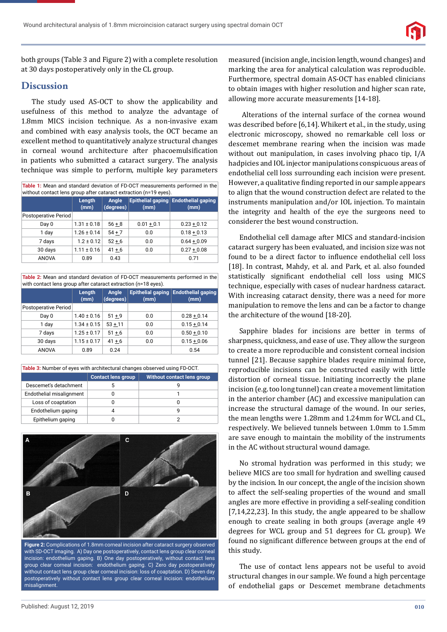

both groups (Table 3 and Figure 2) with a complete resolution at 30 days postoperatively only in the CL group.

## **Discussion**

The study used AS-OCT to show the applicability and usefulness of this method to analyze the advantage of 1.8mm MICS incision technique. As a non-invasive exam and combined with easy analysis tools, the OCT became an excellent method to quantitatively analyze structural changes in corneal wound architecture after phacoemulsification in patients who submitted a cataract surgery. The analysis technique was simple to perform, multiple key parameters

| Table 1: Mean and standard deviation of FD-OCT measurements performed in the<br>without contact lens group after cataract extraction (n=19 eyes). |                 |                    |              |                                              |  |  |
|---------------------------------------------------------------------------------------------------------------------------------------------------|-----------------|--------------------|--------------|----------------------------------------------|--|--|
|                                                                                                                                                   | Length<br>(mm)  | Angle<br>(degrees) | (mm)         | Epithelial gaping Endothelial gaping<br>(mm) |  |  |
| <b>Postoperative Period</b>                                                                                                                       |                 |                    |              |                                              |  |  |
| Day 0                                                                                                                                             | $1.31 \pm 0.18$ | $56 + 8$           | $0.01 + 0.1$ | $0.23 + 0.12$                                |  |  |
| 1 day                                                                                                                                             | $1.26 \pm 0.14$ | $54 + 7$           | 0.0          | $0.18 + 0.13$                                |  |  |
| 7 days                                                                                                                                            | $1.2 \pm 0.12$  | $52 + 6$           | 0.0          | $0.64 + 0.09$                                |  |  |
| 30 days                                                                                                                                           | $1.11 \pm 0.16$ | $41 + 6$           | 0.0          | $0.27 + 0.08$                                |  |  |
| ANOVA                                                                                                                                             | 0.89            | 0.43               |              | 0.71                                         |  |  |

**Table 2:** Mean and standard deviation of FD-OCT measurements performed in the with contact lens group after cataract extraction (n=18 eyes).

|                             | Length<br>(mm)  | Angle<br>(degrees) | (mm) | Epithelial gaping Endothelial gaping<br>(mm) |
|-----------------------------|-----------------|--------------------|------|----------------------------------------------|
| <b>Postoperative Period</b> |                 |                    |      |                                              |
| Day 0                       | $1.40 \pm 0.16$ | $51 + 9$           | 0.0  | $0.28 + 0.14$                                |
| 1 day                       | $1.34 \pm 0.15$ | $53 + 11$          | 0.0  | $0.15 + 0.14$                                |
| 7 days                      | $1.25 \pm 0.17$ | $51 + 6$           | 0.0  | $0.50 + 0.10$                                |
| 30 days                     | $1.15 \pm 0.17$ | $41 + 6$           | 0.0  | $0.15 + 0.06$                                |
| <b>ANOVA</b>                | 0.89            | 0.24               |      | 0.54                                         |

| <b>Table 3:</b> Number of eyes with architectural changes observed using FD-OCT. |                           |                            |  |  |  |  |
|----------------------------------------------------------------------------------|---------------------------|----------------------------|--|--|--|--|
|                                                                                  | <b>Contact lens group</b> | Without contact lens group |  |  |  |  |
| Descemet's detachment                                                            |                           |                            |  |  |  |  |
| Endothelial misalignment                                                         |                           |                            |  |  |  |  |
| Loss of coaptation                                                               |                           | 0                          |  |  |  |  |
| Endothelium gaping                                                               |                           | g                          |  |  |  |  |
| Epithelium gaping                                                                |                           |                            |  |  |  |  |



**Figure 2:** Complications of 1.8mm corneal incision after cataract surgery observed with SD-OCT imaging. A) Day one postoperatively, contact lens group clear corneal incision: endothelium gaping. B) One day postoperatively, without contact lens group clear corneal incision: endothelium gaping. C) Zero day postoperatively without contact lens group clear corneal incision: loss of coaptation. D) Seven day postoperatively without contact lens group clear corneal incision: endothelium misalignment.

measured (incision angle, incision length, wound changes) and marking the area for analytical calculation was reproducible. Furthermore, spectral domain AS-OCT has enabled clinicians to obtain images with higher resolution and higher scan rate, allowing more accurate measurements [14-18].

 Alterations of the internal surface of the cornea wound was described before [6,14]. Whikert et al., in the study, using electronic microscopy, showed no remarkable cell loss or descemet membrane rearing when the incision was made without out manipulation, in cases involving phaco tip, I/A hadpicies and IOL injector manipulations conspicuous areas of endothelial cell loss surrounding each incision were present. However, a qualitative finding reported in our sample appears to align that the wound construction defect are related to the instruments manipulation and/or IOL injection. To maintain the integrity and health of the eye the surgeons need to considerer the best wound construction.

Endothelial cell damage after MICS and standard-incision cataract surgery has been evaluated, and incision size was not found to be a direct factor to influence endothelial cell loss [18]. In contrast, Mahdy, et al. and Park, et al. also founded statistically significant endothelial cell loss using MICS technique, especially with cases of nuclear hardness cataract. With increasing cataract density, there was a need for more manipulation to remove the lens and can be a factor to change the architecture of the wound [18-20].

Sapphire blades for incisions are better in terms of sharpness, quickness, and ease of use. They allow the surgeon to create a more reproducible and consistent corneal incision tunnel [21]. Because sapphire blades require minimal force, reproducible incisions can be constructed easily with little distortion of corneal tissue. Initiating incorrectly the plane incision (e.g. too long tunnel) can create a movement limitation in the anterior chamber (AC) and excessive manipulation can increase the structural damage of the wound. In our series, the mean lengths were 1.28mm and 1.24mm for WCL and CL, respectively. We believed tunnels between 1.0mm to 1.5mm are save enough to maintain the mobility of the instruments in the AC without structural wound damage.

No stromal hydration was performed in this study; we believe MICS are too small for hydration and swelling caused by the incision. In our concept, the angle of the incision shown to affect the self-sealing properties of the wound and small angles are more effective in providing a self-sealing condition [7,14,22,23]. In this study, the angle appeared to be shallow enough to create sealing in both groups (average angle 49 degrees for WCL group and 51 degrees for CL group). We found no significant difference between groups at the end of this study.

The use of contact lens appears not be useful to avoid structural changes in our sample. We found a high percentage of endothelial gaps or Descemet membrane detachments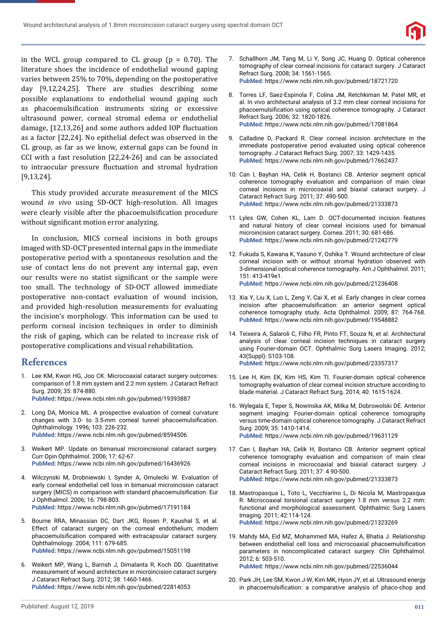

in the WCL group compared to CL group ( $p = 0.70$ ). The literature shoes the incidence of endothelial wound gaping varies between 25% to 70%, depending on the postoperative day [9,12,24,25]. There are studies describing some possible explanations to endothelial wound gaping such as phacoemulsification instruments sizing or excessive ultrasound power, corneal stromal edema or endothelial damage, [12,13,26] and some authors added IOP fluctuation as a factor [22,24]. No epithelial defect was observed in the CL group, as far as we know, external gaps can be found in CCI with a fast resolution [22,24-26] and can be associated to intraocular pressure fluctuation and stromal hydration [9,13,24].

This study provided accurate measurement of the MICS wound *in vivo* using SD-OCT high-resolution. All images were clearly visible after the phacoemulsification procedure without significant motion error analyzing.

In conclusion, MICS corneal incisions in both groups imaged with SD-OCT presented internal gaps in the immediate postoperative period with a spontaneous resolution and the use of contact lens do not prevent any internal gap, even our results were no statist significant or the sample were too small. The technology of SD-OCT allowed immediate postoperative non-contact evaluation of wound incision, and provided high-resolution measurements for evaluating the incision's morphology. This information can be used to perform corneal incision techniques in order to diminish the risk of gaping, which can be related to increase risk of postoperative complications and visual rehabilitation.

#### **References**

- 1. Lee KM, Kwon HG, Joo CK. Microcoaxial cataract surgery outcomes: comparison of 1.8 mm system and 2.2 mm system. J Cataract Refract Surg. 2009; 35: 874-880. **PubMed:** https://www.ncbi.nlm.nih.gov/pubmed/19393887
- 2. Long DA, Monica ML. A prospective evaluation of corneal curvature changes with 3.0- to 3.5-mm corneal tunnel phacoemulsification. Ophthalmology*.* 1996; 103: 226-232. **PubMed:** https://www.ncbi.nlm.nih.gov/pubmed/8594506
- 3. Weikert MP. Update on bimanual microincisional cataract surgery. Curr Opin Ophthalmol. 2006; 17: 62-67. **PubMed:** https://www.ncbi.nlm.nih.gov/pubmed/16436926
- 4. Wilczynski M, Drobniewski I, Synder A, Omulecki W. Evaluation of early corneal endothelial cell loss in bimanual microincision cataract surgery (MICS) in comparison with standard phacoemulsification. Eur J Ophthalmol. 2006; 16: 798-803. **PubMed:** https://www.ncbi.nlm.nih.gov/pubmed/17191184
- 5. Bourne RRA, Minassian DC, Dart JKG, Rosen P, Kaushal S, et al. Effect of cataract surgery on the corneal endothelium; modern phacoemulsification compared with extracapsular cataract surgery. Ophthalmology. 2004; 111: 679-685. **PubMed:** https://www.ncbi.nlm.nih.gov/pubmed/15051198
- 6. Weikert MP, Wang L, Barrish J, Dimalanta R, Koch DD. Quantitative measurement of wound architecture in microincision cataract surgery. J Cataract Refract Surg. 2012; 38: 1460-1466. **PubMed:** https://www.ncbi.nlm.nih.gov/pubmed/22814053
- 7. Schallhorn JM, Tang M, Li Y, Song JC, Huang D. Optical coherence tomography of clear corneal incisions for cataract surgery. J Cataract Refract Surg. 2008; 34: 1561-1565. **PubMed:** https://www.ncbi.nlm.nih.gov/pubmed/18721720
- 8. Torres LF, Saez-Espinola F, Colina JM, Retchkiman M, Patel MR, et al. In vivo architectural analysis of 3.2 mm clear corneal incisions for phacoemulsification using optical coherence tomography. J Cataract Refract Surg*.* 2006; 32: 1820-1826. **PubMed:** https://www.ncbi.nlm.nih.gov/pubmed/17081864
- 9. Calladine D, Packard R. Clear corneal incision architecture in the immediate postoperative period evaluated using optical coherence tomography. J Cataract Refract Surg. 2007; 33: 1429-1435. **PubMed:** https://www.ncbi.nlm.nih.gov/pubmed/17662437
- 10. Can I, Bayhan HA, Celik H, Bostanci CB. Anterior segment optical coherence tomography evaluation and comparison of main clear corneal incisions in microcoaxial and biaxial cataract surgery. J Cataract Refract Surg. 2011; 37: 490-500. **PubMed:** https://www.ncbi.nlm.nih.gov/pubmed/21333873
- 11. Lyles GW, Cohen KL, Lam D. OCT-documented incision features and natural history of clear corneal incisions used for bimanual microincision cataract surgery. Cornea. 2011; 30: 681-686. **PubMed:** https://www.ncbi.nlm.nih.gov/pubmed/21242779
- 12. Fukuda S, Kawana K, Yasuno Y, Oshika T. Wound architecture of clear corneal incision with or without stromal hydration observed with 3-dimensional optical coherence tomography. Am J Ophthalmol. 2011; 151: 413-419e1. **PubMed:** https://www.ncbi.nlm.nih.gov/pubmed/21236408
- 13. Xia Y, Liu X, Luo L, Zeng Y, Cai X, et al. Early changes in clear cornea incision after phacoemulsification: an anterior segment optical coherence tomography study. Acta Ophthalmol. 2009; 87: 764-768. **PubMed:** https://www.ncbi.nlm.nih.gov/pubmed/19548882
- 14. Teixeira A, Salaroli C, Filho FR, Pinto FT, Souza N, et al. Architectural analysis of clear corneal incision techniques in cataract surgery using Fourier-domain OCT. Ophthalmic Surg Lasers Imaging. 2012; 43(Suppl): S103-108.
	- **PubMed:** https://www.ncbi.nlm.nih.gov/pubmed/23357317
- 15. Lee H, Kim EK, Kim HS, Kim TI. Fourier-domain optical coherence tomography evaluation of clear corneal incision structure according to blade material. J Cataract Refract Surg. 2014; 40: 1615-1624.
- 16. Wylegala E, Teper S, Nowinska AK, Milka M, Dobrowolski DE. Anterior segment imaging: Fourier-domain optical coherence tomography versus time-domain optical coherence tomography. J Cataract Refract Surg. 2009; 35: 1410-1414. **PubMed:** https://www.ncbi.nlm.nih.gov/pubmed/19631129
- 17. Can I, Bayhan HA, Celik H, Bostancı CB. Anterior segment optical coherence tomography evaluation and comparison of main clear corneal incisions in microcoaxial and biaxial cataract surgery. J Cataract Refract Surg. 2011; 37: 4 90-500. **PubMed:** https://www.ncbi.nlm.nih.gov/pubmed/21333873
- 18. Mastropasqua L, Toto L, Vecchiarino L, Di Nicola M, Mastropasqua R. Microcoaxial torsional cataract surgery 1.8 mm versus 2.2 mm: functional and morphological assessment. Ophthalmic Surg Lasers Imaging. 2011; 42:114-124. **PubMed:** https://www.ncbi.nlm.nih.gov/pubmed/21323269
- 19. Mahdy MA, Eid MZ, Mohammed MA, Hafez A, Bhatia J. Relationship between endothelial cell loss and microcoaxial phacoemulsification parameters in noncomplicated cataract surgery. Clin Ophthalmol. 2012; 6: 503-510.

**PubMed:** https://www.ncbi.nlm.nih.gov/pubmed/22536044

20. Park JH, Lee SM, Kwon J-W, Kim MK, Hyon JY, et al. Ultrasound energy in phacoemulsification: a comparative analysis of phaco-chop and